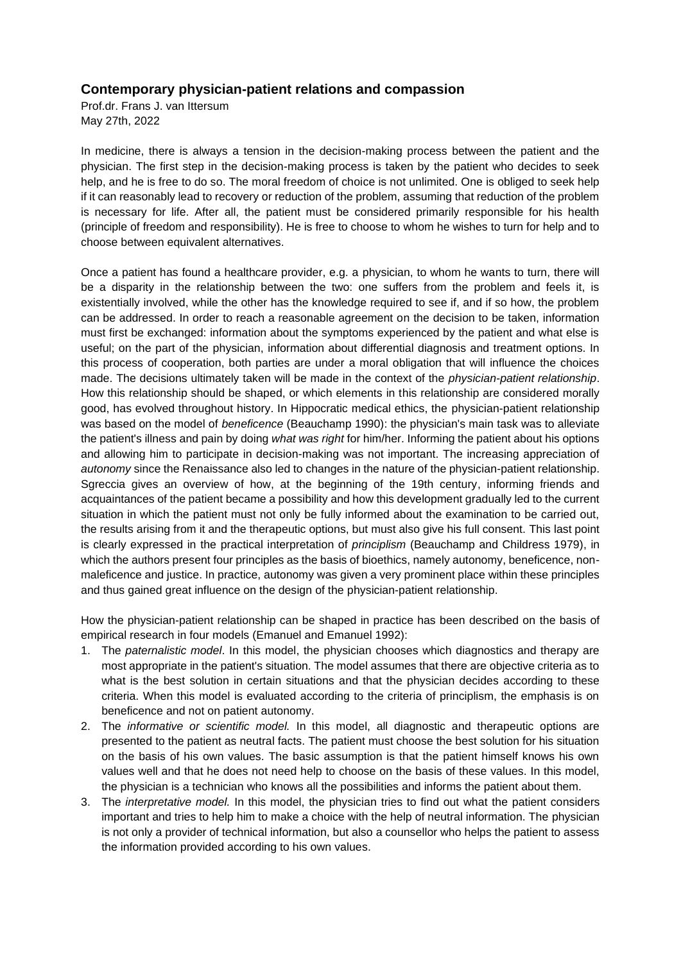## **Contemporary physician-patient relations and compassion**

Prof.dr. Frans J. van Ittersum May 27th, 2022

In medicine, there is always a tension in the decision-making process between the patient and the physician. The first step in the decision-making process is taken by the patient who decides to seek help, and he is free to do so. The moral freedom of choice is not unlimited. One is obliged to seek help if it can reasonably lead to recovery or reduction of the problem, assuming that reduction of the problem is necessary for life. After all, the patient must be considered primarily responsible for his health (principle of freedom and responsibility). He is free to choose to whom he wishes to turn for help and to choose between equivalent alternatives.

Once a patient has found a healthcare provider, e.g. a physician, to whom he wants to turn, there will be a disparity in the relationship between the two: one suffers from the problem and feels it, is existentially involved, while the other has the knowledge required to see if, and if so how, the problem can be addressed. In order to reach a reasonable agreement on the decision to be taken, information must first be exchanged: information about the symptoms experienced by the patient and what else is useful; on the part of the physician, information about differential diagnosis and treatment options. In this process of cooperation, both parties are under a moral obligation that will influence the choices made. The decisions ultimately taken will be made in the context of the *physician-patient relationship*. How this relationship should be shaped, or which elements in this relationship are considered morally good, has evolved throughout history. In Hippocratic medical ethics, the physician-patient relationship was based on the model of *beneficence* (Beauchamp 1990): the physician's main task was to alleviate the patient's illness and pain by doing *what was right* for him/her. Informing the patient about his options and allowing him to participate in decision-making was not important. The increasing appreciation of *autonomy* since the Renaissance also led to changes in the nature of the physician-patient relationship. Sgreccia gives an overview of how, at the beginning of the 19th century, informing friends and acquaintances of the patient became a possibility and how this development gradually led to the current situation in which the patient must not only be fully informed about the examination to be carried out, the results arising from it and the therapeutic options, but must also give his full consent. This last point is clearly expressed in the practical interpretation of *principlism* (Beauchamp and Childress 1979), in which the authors present four principles as the basis of bioethics, namely autonomy, beneficence, nonmaleficence and justice. In practice, autonomy was given a very prominent place within these principles and thus gained great influence on the design of the physician-patient relationship.

How the physician-patient relationship can be shaped in practice has been described on the basis of empirical research in four models (Emanuel and Emanuel 1992):

- 1. The *paternalistic model*. In this model, the physician chooses which diagnostics and therapy are most appropriate in the patient's situation. The model assumes that there are objective criteria as to what is the best solution in certain situations and that the physician decides according to these criteria. When this model is evaluated according to the criteria of principlism, the emphasis is on beneficence and not on patient autonomy.
- 2. The *informative or scientific model.* In this model, all diagnostic and therapeutic options are presented to the patient as neutral facts. The patient must choose the best solution for his situation on the basis of his own values. The basic assumption is that the patient himself knows his own values well and that he does not need help to choose on the basis of these values. In this model, the physician is a technician who knows all the possibilities and informs the patient about them.
- 3. The *interpretative model.* In this model, the physician tries to find out what the patient considers important and tries to help him to make a choice with the help of neutral information. The physician is not only a provider of technical information, but also a counsellor who helps the patient to assess the information provided according to his own values.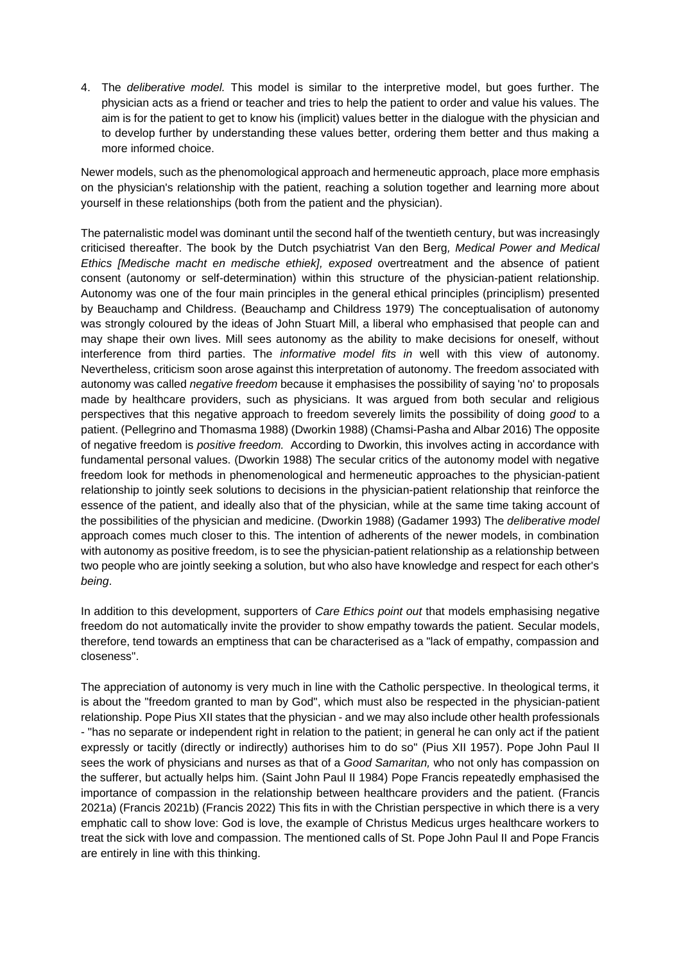4. The *deliberative model.* This model is similar to the interpretive model, but goes further. The physician acts as a friend or teacher and tries to help the patient to order and value his values. The aim is for the patient to get to know his (implicit) values better in the dialogue with the physician and to develop further by understanding these values better, ordering them better and thus making a more informed choice.

Newer models, such as the phenomological approach and hermeneutic approach, place more emphasis on the physician's relationship with the patient, reaching a solution together and learning more about yourself in these relationships (both from the patient and the physician).

The paternalistic model was dominant until the second half of the twentieth century, but was increasingly criticised thereafter. The book by the Dutch psychiatrist Van den Berg*, Medical Power and Medical Ethics [Medische macht en medische ethiek], exposed* overtreatment and the absence of patient consent (autonomy or self-determination) within this structure of the physician-patient relationship. Autonomy was one of the four main principles in the general ethical principles (principlism) presented by Beauchamp and Childress. (Beauchamp and Childress 1979) The conceptualisation of autonomy was strongly coloured by the ideas of John Stuart Mill, a liberal who emphasised that people can and may shape their own lives. Mill sees autonomy as the ability to make decisions for oneself, without interference from third parties. The *informative model fits in* well with this view of autonomy. Nevertheless, criticism soon arose against this interpretation of autonomy. The freedom associated with autonomy was called *negative freedom* because it emphasises the possibility of saying 'no' to proposals made by healthcare providers, such as physicians. It was argued from both secular and religious perspectives that this negative approach to freedom severely limits the possibility of doing *good* to a patient. (Pellegrino and Thomasma 1988) (Dworkin 1988) (Chamsi-Pasha and Albar 2016) The opposite of negative freedom is *positive freedom.* According to Dworkin, this involves acting in accordance with fundamental personal values. (Dworkin 1988) The secular critics of the autonomy model with negative freedom look for methods in phenomenological and hermeneutic approaches to the physician-patient relationship to jointly seek solutions to decisions in the physician-patient relationship that reinforce the essence of the patient, and ideally also that of the physician, while at the same time taking account of the possibilities of the physician and medicine. (Dworkin 1988) (Gadamer 1993) The *deliberative model*  approach comes much closer to this. The intention of adherents of the newer models, in combination with autonomy as positive freedom, is to see the physician-patient relationship as a relationship between two people who are jointly seeking a solution, but who also have knowledge and respect for each other's *being*.

In addition to this development, supporters of *Care Ethics point out* that models emphasising negative freedom do not automatically invite the provider to show empathy towards the patient. Secular models, therefore, tend towards an emptiness that can be characterised as a "lack of empathy, compassion and closeness".

The appreciation of autonomy is very much in line with the Catholic perspective. In theological terms, it is about the "freedom granted to man by God", which must also be respected in the physician-patient relationship. Pope Pius XII states that the physician - and we may also include other health professionals - "has no separate or independent right in relation to the patient; in general he can only act if the patient expressly or tacitly (directly or indirectly) authorises him to do so" (Pius XII 1957). Pope John Paul II sees the work of physicians and nurses as that of a *Good Samaritan,* who not only has compassion on the sufferer, but actually helps him. (Saint John Paul II 1984) Pope Francis repeatedly emphasised the importance of compassion in the relationship between healthcare providers and the patient. (Francis 2021a) (Francis 2021b) (Francis 2022) This fits in with the Christian perspective in which there is a very emphatic call to show love: God is love, the example of Christus Medicus urges healthcare workers to treat the sick with love and compassion. The mentioned calls of St. Pope John Paul II and Pope Francis are entirely in line with this thinking.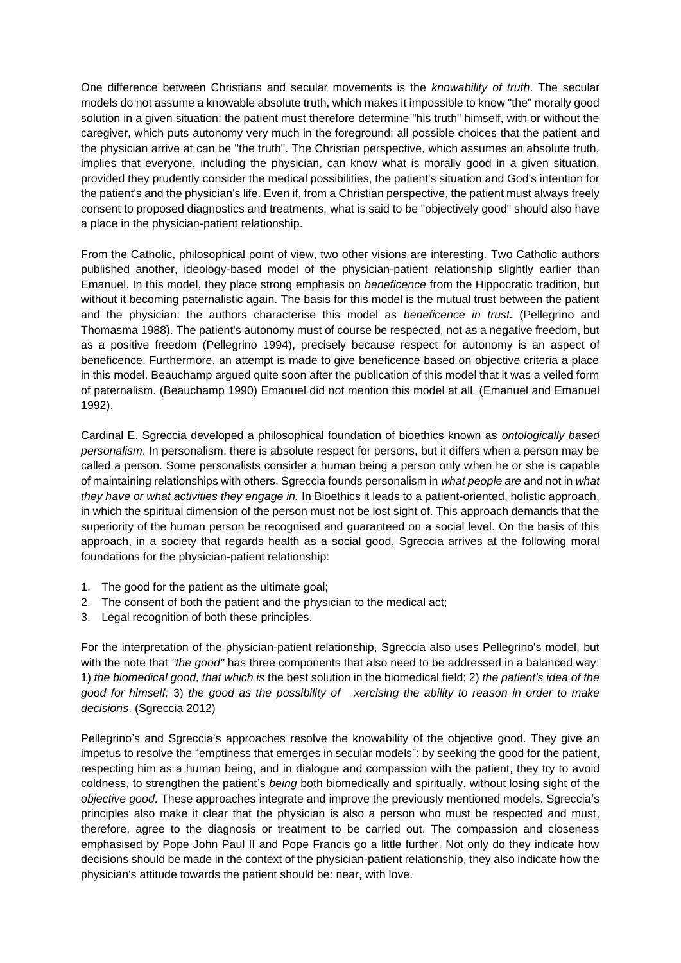One difference between Christians and secular movements is the *knowability of truth*. The secular models do not assume a knowable absolute truth, which makes it impossible to know "the" morally good solution in a given situation: the patient must therefore determine "his truth" himself, with or without the caregiver, which puts autonomy very much in the foreground: all possible choices that the patient and the physician arrive at can be "the truth". The Christian perspective, which assumes an absolute truth, implies that everyone, including the physician, can know what is morally good in a given situation, provided they prudently consider the medical possibilities, the patient's situation and God's intention for the patient's and the physician's life. Even if, from a Christian perspective, the patient must always freely consent to proposed diagnostics and treatments, what is said to be "objectively good" should also have a place in the physician-patient relationship.

From the Catholic, philosophical point of view, two other visions are interesting. Two Catholic authors published another, ideology-based model of the physician-patient relationship slightly earlier than Emanuel. In this model, they place strong emphasis on *beneficence* from the Hippocratic tradition, but without it becoming paternalistic again. The basis for this model is the mutual trust between the patient and the physician: the authors characterise this model as *beneficence in trust.* (Pellegrino and Thomasma 1988). The patient's autonomy must of course be respected, not as a negative freedom, but as a positive freedom (Pellegrino 1994), precisely because respect for autonomy is an aspect of beneficence. Furthermore, an attempt is made to give beneficence based on objective criteria a place in this model. Beauchamp argued quite soon after the publication of this model that it was a veiled form of paternalism. (Beauchamp 1990) Emanuel did not mention this model at all. (Emanuel and Emanuel 1992).

Cardinal E. Sgreccia developed a philosophical foundation of bioethics known as *ontologically based personalism*. In personalism, there is absolute respect for persons, but it differs when a person may be called a person. Some personalists consider a human being a person only when he or she is capable of maintaining relationships with others. Sgreccia founds personalism in *what people are* and not in *what they have or what activities they engage in.* In Bioethics it leads to a patient-oriented, holistic approach, in which the spiritual dimension of the person must not be lost sight of. This approach demands that the superiority of the human person be recognised and guaranteed on a social level. On the basis of this approach, in a society that regards health as a social good, Sgreccia arrives at the following moral foundations for the physician-patient relationship:

- 1. The good for the patient as the ultimate goal;
- 2. The consent of both the patient and the physician to the medical act;
- 3. Legal recognition of both these principles.

For the interpretation of the physician-patient relationship, Sgreccia also uses Pellegrino's model, but with the note that *"the good"* has three components that also need to be addressed in a balanced way: 1) *the biomedical good, that which is* the best solution in the biomedical field; 2) *the patient's idea of the good for himself;* 3) *the good as the possibility of xercising the ability to reason in order to make decisions*. (Sgreccia 2012)

Pellegrino's and Sgreccia's approaches resolve the knowability of the objective good. They give an impetus to resolve the "emptiness that emerges in secular models": by seeking the good for the patient, respecting him as a human being, and in dialogue and compassion with the patient, they try to avoid coldness, to strengthen the patient's *being* both biomedically and spiritually, without losing sight of the *objective good*. These approaches integrate and improve the previously mentioned models. Sgreccia's principles also make it clear that the physician is also a person who must be respected and must, therefore, agree to the diagnosis or treatment to be carried out. The compassion and closeness emphasised by Pope John Paul II and Pope Francis go a little further. Not only do they indicate how decisions should be made in the context of the physician-patient relationship, they also indicate how the physician's attitude towards the patient should be: near, with love.